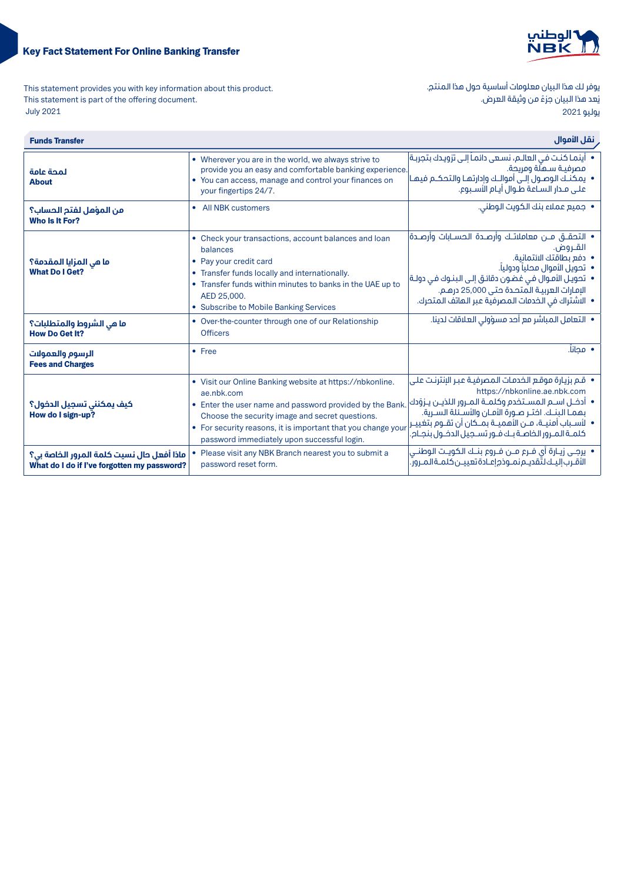## Key Fact Statement For Online Banking Transfer



This statement provides you with key information about this product. This statement is part of the offering document. 2021 July

يوفر لك هذا البيان معلومات أساسية حول هذا المنتج. ي ـ ـ ـ<br>يُعد هذا البيان جزءً من وثيقة العرض. يوليو 2021

| نقل الأموال<br><b>Funds Transfer</b>                                                     |                                                                                                                                                                                                                                                                                                      |                                                                                                                                                                                                                                                                                                                                                  |
|------------------------------------------------------------------------------------------|------------------------------------------------------------------------------------------------------------------------------------------------------------------------------------------------------------------------------------------------------------------------------------------------------|--------------------------------------------------------------------------------------------------------------------------------------------------------------------------------------------------------------------------------------------------------------------------------------------------------------------------------------------------|
| لمحة عامة<br><b>About</b>                                                                | • Wherever you are in the world, we always strive to<br>provide you an easy and comfortable banking experience.<br>• You can access, manage and control your finances on<br>your fingertips 24/7.                                                                                                    | •   أينما كنت في العالـم، نسـعى دائمـاً إلـى تزويـدك بتجربـة <br>مصرفيـة سـملّة ومريحة.<br>•   يمكنـك الـوصــول إلــى أموالــك وإدارتهـا والتحكــم فيهـا<br>علــــ , مــدار الـســاعة طــوال أبــام الأســبوع.                                                                                                                                   |
| من المؤهل لفتم الحساب؟<br>Who Is It For?                                                 | • All NBK customers                                                                                                                                                                                                                                                                                  | • جميع عملاء بنك الكويت الوطني.                                                                                                                                                                                                                                                                                                                  |
| ما مي المزايا المقدمة؟<br><b>What Do I Get?</b>                                          | • Check your transactions, account balances and loan<br>balances<br>• Pay your credit card<br>• Transfer funds locally and internationally.<br>• Transfer funds within minutes to banks in the UAE up to<br>AED 25,000.<br>• Subscribe to Mobile Banking Services                                    | • التحقـــق مـــن معاملاتــك وأرصـــدة الـحســـابات وأرصــدة <br>القـروض.<br>• دفع بطاقتك الائتمانية.<br>•   تحويل الأموال محلياً ودولياً.<br>•   تحويـل الأمـوال فـى غضـون دقائـق إلـى الـبنـوك فـى دولـة <br>الإمارات العربية المتحدة حتى 25,000 درهـم.<br>• الاشتراك في الخدمات المصرفية عبر الـهاتف الـمتحرك.                                |
| ما هي الشروط والمتطلبات؟<br><b>How Do Get It?</b>                                        | • Over-the-counter through one of our Relationship<br><b>Officers</b>                                                                                                                                                                                                                                | •  التعامل المباشر مع أحد مسؤولي العلاقات لدينا.                                                                                                                                                                                                                                                                                                 |
| الرسوم والعمولات<br><b>Fees and Charges</b>                                              | $•$ Free                                                                                                                                                                                                                                                                                             | • محانا.                                                                                                                                                                                                                                                                                                                                         |
| كيف يمكننى تسجيل الدخول؟<br>How do I sign-up?                                            | • Visit our Online Banking website at https://nbkonline.<br>ae.nbk.com<br>• Enter the user name and password provided by the Bank.<br>Choose the security image and secret questions.<br>• For security reasons, it is important that you change your<br>password immediately upon successful login. | •   قـم بزيـارة موقـع الــفدمـات الـمـصرفيـة عـبـر الإنترنـت عـلـى<br>https://nbkonline.ae.nbk.com<br>• آدخـل اسـم المسـتخدم وكلمـة المـرور اللذيـن يـزوّدك<br>بهمـا البنــك. اختـر صـورة الأمـان والأســئلة السـرية.<br>•   لأســباب أمنيــة، مــن الأهميــة بمــكان أن تقــوم بتغييـر<br>كلمـة المـرور الخاصـة بـك فـور تسـجيل الدخـول بنجـام. |
| ماذا أفعل حال نسيت كلمة المرور الخاصة بي؟<br>What do I do if I've forgotten my password? | • Please visit any NBK Branch nearest you to submit a<br>password reset form.                                                                                                                                                                                                                        | •  يرجـــى زيــارة أي فــرع مـــن فــروع بنــك الـكويــت الـوطنـــى<br>الأقرب إليــك لتّقديــم نمــوذج إعــادة تعييــن كلمــة الـمــرور ّ.                                                                                                                                                                                                       |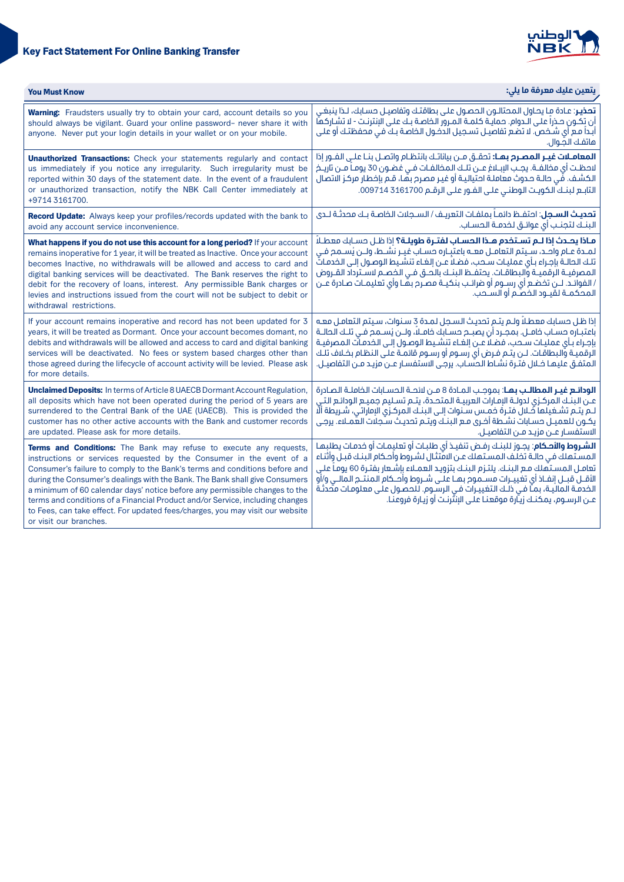



| <b>You Must Know</b>                                                                                                                                                                                                                                                                                                                                                                                                                                                                                                                                                               | يتعين عليك معرفة ما يلي:                                                                                                                                                                                                                                                                                                                                                                                                                                                                                                                               |
|------------------------------------------------------------------------------------------------------------------------------------------------------------------------------------------------------------------------------------------------------------------------------------------------------------------------------------------------------------------------------------------------------------------------------------------------------------------------------------------------------------------------------------------------------------------------------------|--------------------------------------------------------------------------------------------------------------------------------------------------------------------------------------------------------------------------------------------------------------------------------------------------------------------------------------------------------------------------------------------------------------------------------------------------------------------------------------------------------------------------------------------------------|
| <b>Warning:</b> Fraudsters usually try to obtain your card, account details so you<br>should always be vigilant. Guard your online password- never share it with<br>anyone. Never put your login details in your wallet or on your mobile.                                                                                                                                                                                                                                                                                                                                         | <b>تحذيـر</b> : عـادة مـا يحـاول الـمحتالــون الـحصـول عـلـى بـطاقتـك وتفاصيــل حسـابك، لــذا ينبـغــى<br>أن تكـون حـذراً علـى الـدوام. حمايـة كلمـة المـرور الخاصـة بـك علـى الإنترنـت - لا تشـاركها<br>أبداً مع أي شـــفـص. لا تضـع تفاصيــل تســجيـل الدفــول الـفاصـة بــك فــى محفظتـك أو علــى<br>هاتفك الصوال.                                                                                                                                                                                                                                  |
| <b>Unauthorized Transactions:</b> Check your statements regularly and contact<br>us immediately if you notice any irregularity. Such irregularity must be<br>reported within 30 days of the statement date. In the event of a fraudulent<br>or unauthorized transaction, notify the NBK Call Center immediately at<br>+9714 3161700.                                                                                                                                                                                                                                               | <b>المعامــلات غيــر المصـرم بـهـا:</b> تحقــق مــن بياناتـك بانتظـام واتصــل بنــا علــى الفــور إذا<br>لاحظـت أي مخالفــة. يجــب الإبـــلاغ عـــن تلــك الـمخالفــات فــي غضــون 30 يومــاً مــن تاريــخ<br>الكشف. فّي حالـة حـدوث معاملـة احتياليـة أو غيـر مصـرح بهَـا، قـم بإخطـار مركـز الاتصال<br>التابـع لبنـك الكويـت الوطنـى علـى الفـور علـى الرقـم 3161700 009714.                                                                                                                                                                         |
| Record Update: Always keep your profiles/records updated with the bank to<br>avoid any account service inconvenience.                                                                                                                                                                                                                                                                                                                                                                                                                                                              | <b>تحديث الســجل</b> : احتفــظ دائمــاً بملفــات التعريــف / الســجلات الـفاصــة بــك محدثــة لـــدى<br>البنــك لتجنــب أى عوائــق لــفدمــة الـمســاب.                                                                                                                                                                                                                                                                                                                                                                                                |
| What happens if you do not use this account for a long period? If your account<br>remains inoperative for 1 year, it will be treated as Inactive. Once your account<br>becomes Inactive, no withdrawals will be allowed and access to card and<br>digital banking services will be deactivated. The Bank reserves the right to<br>debit for the recovery of loans, interest. Any permissible Bank charges or<br>levies and instructions issued from the court will not be subject to debit or<br>withdrawal restrictions.                                                          | مـاذا يحـدث إذا لـم تسـتخدم هـذا الحسـاب لفتـرة طويلـة؟ إذا ظـل حسـابك معطـلاً<br>لمـدة عـام واحـد، سـِيتم التعامـل معـه باعتبِـاره حسـاب غيـر نشـط، ولــن يُسـمح فـي<br>تلك الحالـة بإجـراء بـأيّ عمليـات سـحب، فضـلاً عـن إلغـاء تنشـيط الوصـول إلـى الخدمـاتّ<br>المصرفيــة الرقميــة والبطاقــات. يحتفــظ البنــك بالحــق فــى الخصـم لاســترداد القــروض<br>/ الفوائـد. لــن تخضـع أي رســوم أو ضرائـب بنكيــة مصـرم بهَـا وأي تعليمـات صـادرة عــن<br>المحكمــة لقبــود الخصــم آو الســحب.                                                      |
| If your account remains inoperative and record has not been updated for 3<br>years, it will be treated as Dormant. Once your account becomes domant, no<br>debits and withdrawals will be allowed and access to card and digital banking<br>services will be deactivated. No fees or system based charges other than<br>those agreed during the lifecycle of account activity will be levied. Please ask<br>for more details.                                                                                                                                                      | إذا ظل حسابك معطلاً ولـم يتـم تحديث السـجل لمـدة 3 سـنوات، سـيتم التعامـل معـه<br>باعتبـاره حسـاب خامــل. بمجـرد أن يصبــم حسـابك خامــلاً، ولــن يُســمم فــى تلــك الـحالــة<br>بإجراء بأى عمليـات سـحب، فضـلاً عـن إلغـاء تنشـيط الوصـول إلـى الخدمـات المصرفيـة<br>الرقميـة والبطاقـات. لــن يتــم فـرض أى رســوم أو رســوم قائمــة عـلـى الـنظـام بخــلاف تلـك<br>المتفـق عليهـا خـلال فتـرة نشـاط الحسّاب. يرجـى الاستفسـار عـن مزيـد مـن التفاصيـل.                                                                                             |
| <b>Unclaimed Deposits:</b> In terms of Article 8 UAECB Dormant Account Regulation,<br>all deposits which have not been operated during the period of 5 years are<br>surrendered to the Central Bank of the UAE (UAECB). This is provided the<br>customer has no other active accounts with the Bank and customer records<br>are updated. Please ask for more details.                                                                                                                                                                                                              | عـن البنـك المركـزى لدولــة الإمـارات العربيــة المتحــدة، يتــم تســليم جميــع الـودائـع التــى<br>لـم يتـم تشـغيلـها ضَـلال فتـرة فمـس سـنوات إلـى الـبنـك الـمركـزى الإماراتـى، شـريطة ألَّا<br>يكـون للعميـل حسـابات نشـطة أخـرى مـع البنـك ويتـم تحديـث سـجلات العمـلاء. يرجـي<br>الاستفسـار عــن مزيـد مــن التفاصيـل.                                                                                                                                                                                                                           |
| Terms and Conditions: The Bank may refuse to execute any requests,<br>instructions or services requested by the Consumer in the event of a<br>Consumer's failure to comply to the Bank's terms and conditions before and<br>during the Consumer's dealings with the Bank. The Bank shall give Consumers<br>a minimum of 60 calendar days' notice before any permissible changes to the<br>terms and conditions of a Financial Product and/or Service, including changes<br>to Fees, can take effect. For updated fees/charges, you may visit our website<br>or visit our branches. | <b>الشـروط والأصكام</b> : يجـوز للبنـك رفـض تنفيـذ أى طلبـات أو تعليمـات أو خدمـات يطلبهـا<br>المستهلك فى حالـة تخلـف المسـتـهلك عـن الاقتثـال لشـروط وأحـكام البنـك قبـل وأثنـاء<br>تعامـل المسـتـقلك مـع البنـك. يلتـزم البنـك بتزويـد العمـلاء بإشـعار بفتـرة 60 يومـاً علـي<br>الأقــل قبــل إنفــاذ أي تغييــرات مســموم بهـا علــى شــروط وأحــكام المنتــم المالــى و/أو<br>الخدمـة المالِّيـة، بمـّا فـي ذلـك التغييـرات فـي الرسّوم. للحصـول علـي معلومـات متَّدثـة<br>عـن الرسـوم، يمكنـك زيـّارة موقعنـا علـى الإنتّرنـت أو زيـارة فروعنـا. |